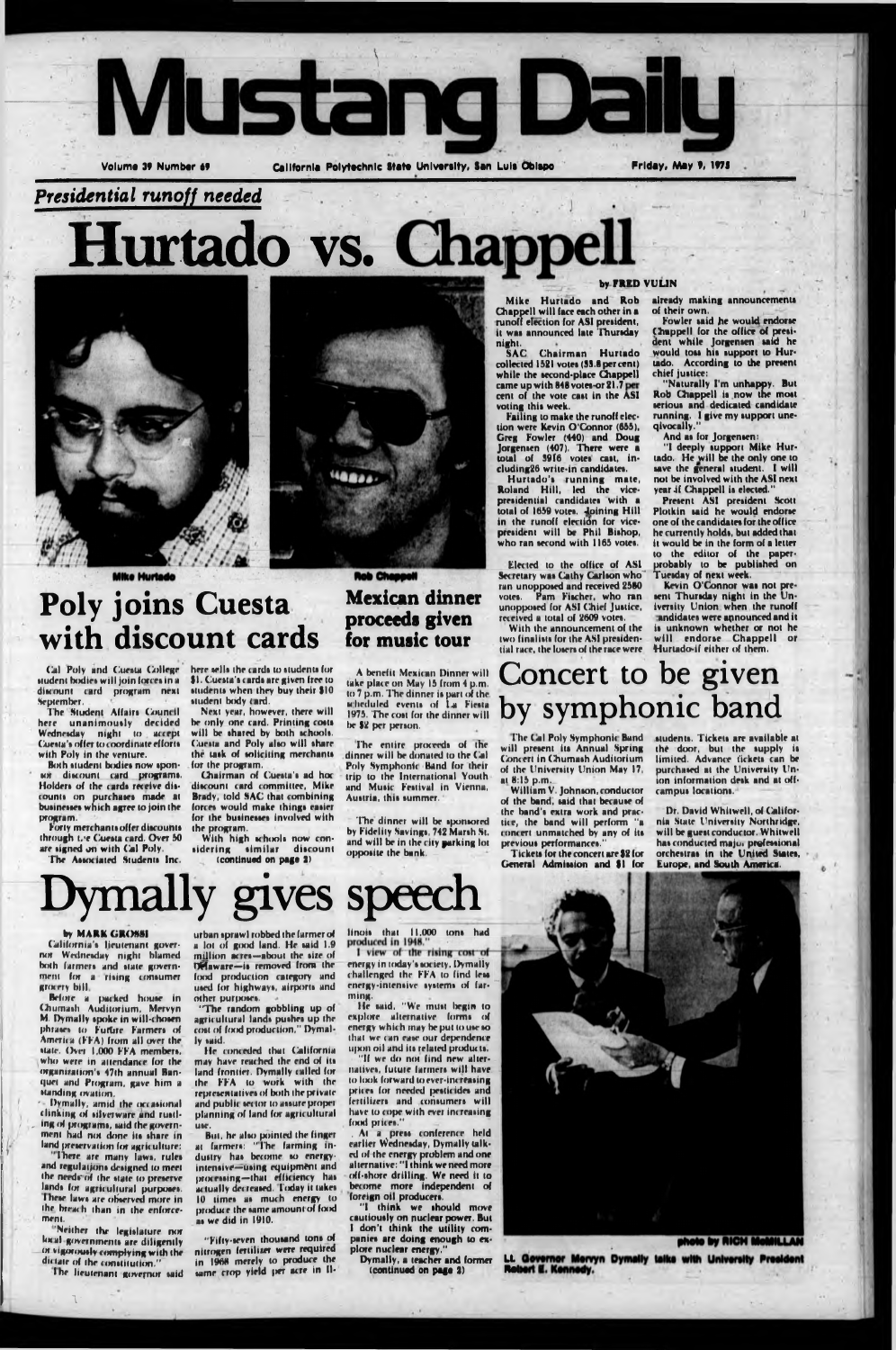

### *Presidential runoff needed*

**Hurtado vs.**



Mike Hurtado

#### by FRED VULIN

# **Poly joins Cuesta with discount cards**

Mexican dinner

proceeds given

**Rob Chappell** 

for music tour

be \$2 per person.

**ASI** SAC Chairman Hurtado collected 1521 votes (33.8 per cent) while the second-place Chappell came up with 848 votei-or 21.7 cent of the vote cast in the voting this week.

Mike Hurtado and Rob Chappell will face each other in a runoff election for ASI president, it was announced late Thursday night.

Hurtado'« running mate, Roland Hill, led the vicepresidential candidates with a total of 1659 votes. Joining Hill in the runoff election for vicepresident will be Phil Bishop, who ran second with 1165 votes.

With the announcement of the two finalists for the ASI presidential race, the losers of the race were . Hurtado-if either of them,

already making announcements

of their own. Fowler said he would endorse Chappell for the office of pretident while Jorgensen said he would ton his support to Hurtado. According to the present chief justice:

Failing to make the runoff election were Kevin O'Connor (655), Greg Fowler (440) and Doug Jorgenien (407). There were a total of 3916 votes cast, induding26 write-in candidate«.

"I deeply tupport Mike Hurtado. He will be the only one to save the general student. I will not be involved with the ASI next year if Chappell is elected."

Present ASI president Scott Plotkin said he would endorse one of the candidates for the office he currently holds, but added that it would be in the form of a letter to the editor of the paperprobably to be published on Tuesday of next week.

Kevin O'Connor was not present Thursday night in the Univeriity Union when the runoff andidates were announced and it is unknown whether or not he will endorse Chappell or

Elected to the office of ASI Secretary was Cathy Carlson who ran unopposed and received 2580 votes. Pam Fischer, who ran unopposed for ASI Chief Justice, received a total of 2609 volet.

Cal Poly and Cuesta College student bodies will join forces in a discount card program next September.

The Student Affairs Council here unanimously decided Wednesday night to accept Cuesta's offer to coordinate efforts with Poly in the venture.

Both student bodies now spontew ditcouni card program«. Holders of the cards receive discounts on purchases made at businesses which agree to join the program.

Forty merchants offer discounts through t. e Cuesta card. Over 50 are signed on with Cal Poly.

The Associated Students Inc.

here sells the cards to students for 91. Cuetta't card« are given free to students when they buy their \$10 student body card.

"Naturally I'm unhappy. But Rob Chappell is now the most terious and dedicated candidate running. I give my tupport uneqivocally."

And as for Jorgensen:

Chairman of Cuesta's ad hoc discount card committee, Mike Brady, told SAC that combining forces would make things easier for the businesses involved with the program.

With high schools now considering similar discount (continued on page 2)

A benefit Mexican Dinner will take place on May 15 from 4 p.m. to 7 p.m. The dinner is part of the Mheduled events of La Fiesta 1975. The cost for the dinner will

The entire proceeds of the

dinner will be donated to the Cal Poly Symphonic Hand for their trip to the International Youth and Music Festival in Vienna, Austria, this summer. The dinner will be sponsored by Fidelity Savings, 742 Marsh St.

#### by MARK GROSSI

students. Tickets are available at the door, but the supply is limited. Advance tickets can be purchased at the University Union information desk and at offrampui location«.

Dr. David Whitwell, of California State University Northridge, will be guest conductor. Whitwell has conducted major prefessional orchestras in the United States, Europe, and South America.

Before a packed house in Chumath Auditorium, Mervyn M. Dymally «poke in will-choten phrases to Future Farmers of America (FFA) from all over the «tale. Over 1,000 FFA member«, who were in attendance lor the organiraiion't 47lh annual Ban quet and Program, gave him a Handing ovation.

- Dymally, amid the occasional clinking of silverware and rustling of programs, said the government had not done its share in land preservation for agriculture:

There are many laws, rules and regulations designed to meet the needs of the state to preserve. lands for agricultural purposes. These laws are observed more in ihe breach than in the enforcement.

"Neither the legislature nor hrcal government» are diligently ot vigoroutly complying with the dictate of the constitution."

urban tprawl robbed the farmer of a lot of good land. He said 1.9 million acres-about the size of DHaware-is removed from the food production category and used for highways, airports and other purposes.

Next year, however, there will he only one card. Printing costs will be shared by both schools. Cuesta and Poly also will share. the task of soliciting merchants for the program.

> I view of the rising cost of energy in today's society, Dymally challenged the FFA to find less energy-intensive systems of farming.

> "If we do not find new alternative», futuie farmer» will have to look forward to ever-increasing prices for needed pesticides and fertilizers and consumers will have to cope with ever increasing food prices."

> . At a press conference held earlier Wednesday, Dymally talked of the energy problem and one alternative: "I think we need more off-thore drilling. We need it to become more independent of foreign oil producer».

"I think we should move cautiously on nuclear power. But I don't think the utility companic» are doing enough to explore nuclear energy."

**(continued on page 2)** 

and will be in the city parking lot oppotile the hank.

# Concert to be given by symphonic band

**Dymally gives speech**

I'he (ail Poly Symphonie Band will present its Annual Spring Concert in Chumash Auditorium of the University Union May 17, at 8:15 p.m..

William V. Johnson, conductor of the band, said that because of the band's extra work and practice, the band will perform "a concert unmatched by any of its previous performances.'

Tickets for the concert are \$2 for General Admission and \$1 for

California'» lieutenant governor Wednesday night blamed both farmers and state government for a rising consumer grocery bill

Ihe lieutenant governor »aid

"The random gobbling up of agricultural lands pushes up the cost of food production," Dymally »aid.

He conceded that California may have reached the end of its land frontier. Dymally called for the FFA to work with thr representatives of both the private and public tec lor to a»»ure propel planning of land for agricultural use.

But, he also pointed the finger at farmer»: "The farming indutiry ha» become »o energyintensive—using equipment and processing-that efficiency has actually decreased. Today it takes 10 times as much energy to produce the same amount of food as we did in 1910.

"Fifty-seven thousand tons of nitrogen fertilizer were required in 1968 merely to produce the same crop yield per acre in II- linois that 11,000 tons had<br>produced in 1948."

lie »aid, "We mutt begin to explore alternative forms of energy which may be put to use so that we can ea»e our dependence upon nil and in related product»,



**1-**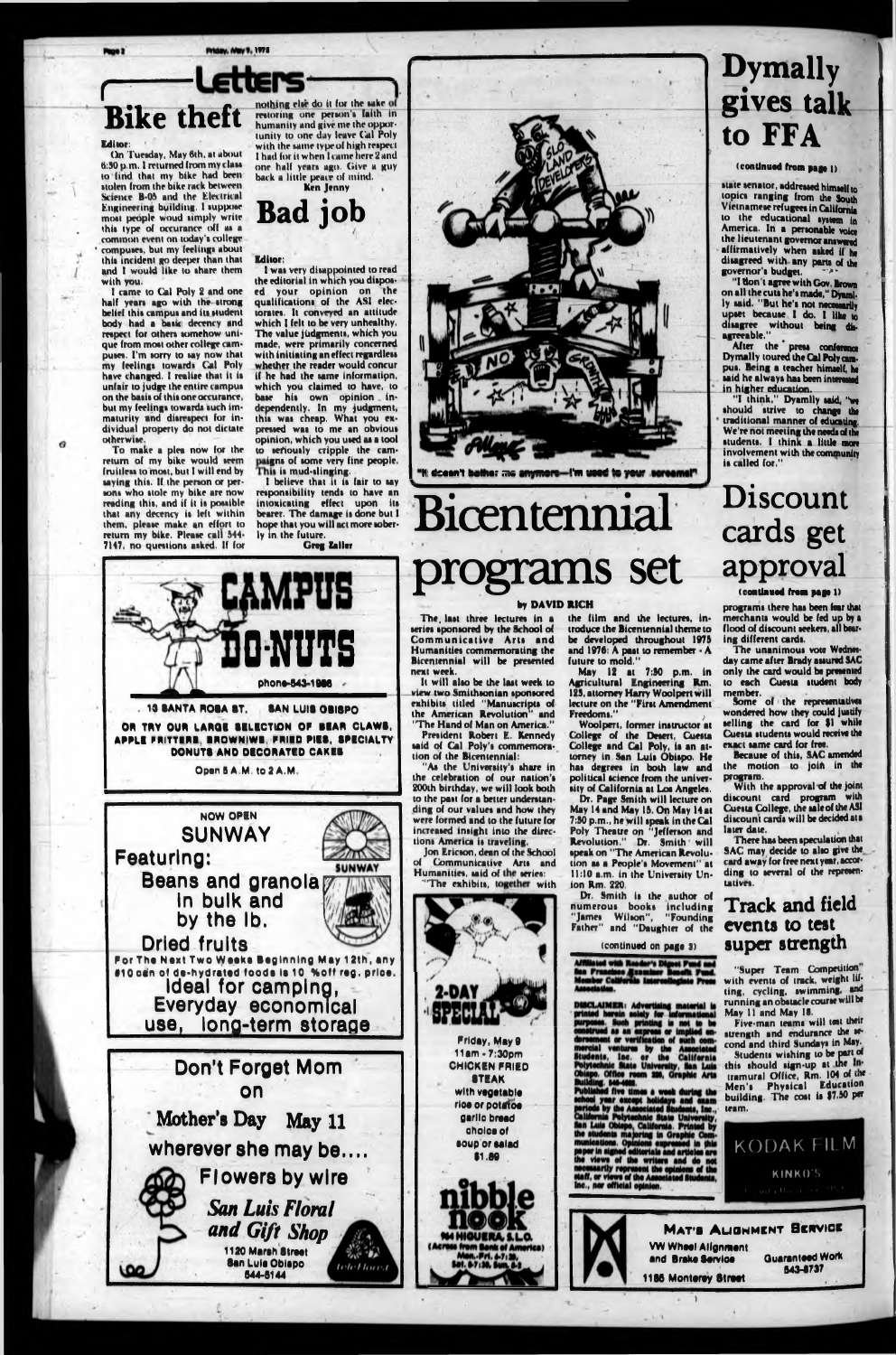Priday, May 9, 1975

## *r* **Bike theft**

#### Editor:

On Tuesday, May 6th, at about 6:30 p.m, I returned from my class to find that my bikr had been stolen from the bike rack between Science B-05 and the Electrical Engineering building, I suppose most people woud simply write this type of occurance off as a common event on today's college compuses, but my feelings about this inridrnt go deeper than that and I would like to share them with you.

To make a plea now lor thr return of my bike would seem fruitless to most, but I will end by asying this. If the person or persons who stole my bike are now reading this, and if it it pouible that any decency is left within them, please make an effort to return my bike. Please call 544- 7147, no questions asked. If for

nothing else do it for the sake of restoring one person's faith in humanity and give me the opportunity to one day leave Gal Poly with the tame type of high respect I had for it when I came here 2 and one half years ago. Give a guy back a little peace of mind.

I came to Gal Poly 2 and one half years ago with the strong belief this campus and its student body had a basic decency and respect for others somehow unique from most other college camputes. I'm sorry to say now that my feelings toward» Cull Poly have changed. I realize that it is unfair to judge the entire campus on the basis of this one occurance, but my feelings towards such immaturity and disrespect for individual property do not dictate otherwise.

1 wai very disappointed to read the editorial in which you disposed your opinion on the qualifications of the ASI electorates. It conveyed an attitude which I felt to be very unhealthy. The value judgments, which you made, were primarily concerned with initiating an effect regardless whether the reader would concur if he had the same information, which you claimed to have, to base his own opinion . independently. In my judgment, this was cheap. What you expressed was to me an obvious opinion, which you used as a tool to sefiously cripple the campaigns of some very fine people. This is mud-slinging.

### Ken Jenny **Bad job**

#### Editor:

stair senator, addressed himself to topics ranging from the South Vietnamese refugees in California to the educational system in America. In a personable voice the lieutenant governor answered affirmatively when asked if he disagreed with any pans of the governor's budget.

After the press conference Dymally toured the Cal Poly cunpus. Being a teacher himself, he said he always has been interested in higher education.

I believe that it is (air to say responsibility tends to have an intoxicating effect upon its bearer. The damage is done but I hope that you will act more soberly in the future.





N <del>deem't both</del>er me <del>anymore—</del>!'m weed to your

As the University's share in the celebration of our nation's 200th birthday, we will look both to the past for a belter understanding of our values and how they were formed and to the future for increased insight into the directions America is traveling.

Jon Ericson, dean of thr School of Communicative Arts and Humanities, said of the series: "The exhibits, together with





2-DA) **Friday, May 9 11am -7:30pm CHICKEN FRIED STEAK with vagatabla rloa or potato« garlic broad choice of aoup or aalad 11.69**

**In bulk and** *f,*



# Bicentennial **programs set approvai**

# **Dymally gives talk to FFA**

#### (continued from page I)

"Super Team Competition" with events of track, weight lifting, cycling, swimming, end running an obstacle course will be May II and May IS.

building. The cost is \$7.50 per team.

KODAK FILM

"I don 't agree with Gov. Brown on all the cuts he's made," Dyaml. ly said. "But he's not necessarily upset because I do. I like to disagree without being disagreeable."

**"I** think," Dyamily said, **"we** should strive to change the traditional manner of educating. We're not meeting the needs of the students. I think a little more involvement with the community is called for."

# Discount cards get

#### **X** (continued from page 1)

#### by DAVID RICH

The. last three lectures in a series sponsored by the School of Communicative Arts and Humanities commemorating the Bicentennial will be presented next week.

It will also be the last week to view two Smithsonian sponsored exhibits titled "Manuscripts of the American Revolution" and "The Hand of Man on America."

President Robert E. Kennedy said of Cal Poly's commemoration of the Bicentennial:

#### the film and the lectures, introduce the Bicentennial theme to be developed throughout 1975 and 1976: A past to remember • A

future to mold." May 12 at 7:80 p.m. in Agricultural Engineering Rm. 129, attorney Harry Woolpert will lecture on the "First Amendment Freedoms." */*

Woolpert, former instructor at College of the Desert, Cuesta College and Cal Poly, is an attorney in San Luis Obispo. He has degrees in both law and political science from the university of California at Los Angeles.

Dr. Page Smith will lecture on May 14 and May 15. On May I4at 7:50 p.m., he will speak in the Cal Poly Theatre on "Jefferson and Revolution." Dr. Smith will speak on "The American Revolution as a People's Movement" at 11:10 a.m. in the University Union Rm. 220.

Dr. Smith is the author of numerous books including "James Wilson", "Founding Father" and "Daughter of the

#### (continued on page 3)

ated with Reader's Di  $\overline{a}$ 

MSCLAIMER: Advertising material is<br>rinted herein solely for informational<br>urposes. Such printing is not to be<br>onstrued as an express or implied en-<br>prement or verification of such com-<br>nercial ventures by the Associated<br>tu

Building. 546-4682.<br>Published five times a week during the<br>school year except holidays and exam<br>periods by the Associated Students, Inc.,<br>California Polytechnic State University.<br>San Luis Objepo, California. Printed by<br>the

programs there has been fear that merchants would be fed up by s flood of discount seekers, all bearing different cards.

The unanimous vote Wednesday came after Brady assured SAC only the card would be presented to each Cuesta student body member.

Some of the representatives wondered how they could justify selling the card for \$1 while Cuesta students would receive the exact same card for free.

Because of this, SAC amended the motion to joifi in the program.

With the approval of the joint discount card program with Cuesta College, the sale of the ASI discount cargs will be decided at a later date.

There has been speculation that SAC may decide to also give the card away for free next year, according to several of the representatives.

#### Track and field events to test



Five-man teams will test their strength and endurance the second and third Sundays in **May-**Students wishing to be part of this should sign-up at the Intramural Office, Rm.  $104$  of  $\frac{108}{100}$ Men's Physical Education

**KINKO'S**



MAT'S ALIGNMENT BERVICE **VW Whaal Alignment** and **Brake Service** 

**Ouarantaad Work 643-6737**

**1186 Monterey Street** 

*)*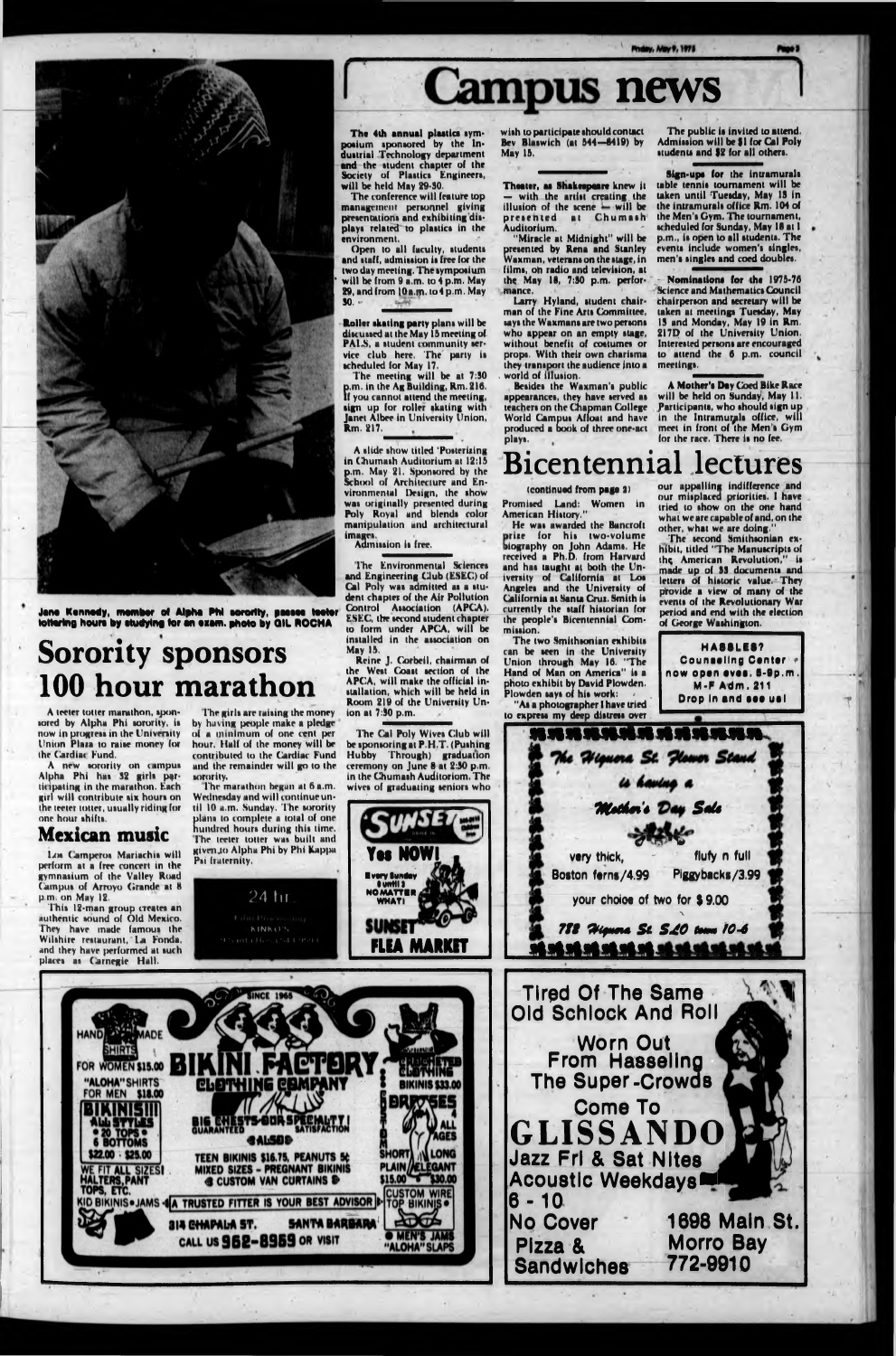The conference will feature top management personnel giving presentations and exhibiting displays related to plastics in the environment.

Open to all faculty, students and staff, admission is free for the two day meeting. The symposium will be from 9 a.m. to 4 p.m. May 29, and from 10a.m. to4 p.m. May so.«

A slide show titled 'Posterizing in Chumash Auditorium at 12:13 p.m. May 21. Sponsored by the School of Architecture and Environmental Design, the show was originally presented during Poly Royal and blends color manipulation and architectural images.

Roller skating party plans will be disc ussed at the May 13 meeting of PALS, a student community service club here. The party is scheduled for May 17.

A teeter totter marathon, sponsored by Alpha Phi sorority, is now in progress in the University Union Plaza to raise money for the Cardiac Fund.

The meeting will be at 7:30 p.m. in the Ag Building, Rm. 216.<br>If you cannot attend the meeting. you cannot attend the meeting, sign up for roller skating with Janet Albee in University Union, Rm. 217.

Los Camperos Mariachis will perform at a free concert in the gymnasium of the Valley Road Campus of Arroyo Grande at 8 p.m. on May 12.

This 12-man group creates an authentic sound of Old Mexico. have made famous

#### Admission it free.

The marathon begun at 6 a.m. Wednesday and will continue until 10 a.m. Sunday. The sorority hundred hours during this time. plans to complete a total of one The teeter totter was built and givenjo Alpha Phi by Phi Rappu Psi (ruternity.

A new sorority on campus Alpha Phi has 32 girls participating in the marathon. Each girl will contribute six hours on the teeter loiter, usually riding for one hour shifts.

Theater, as Shakespeare knew it — with the artist creating , the illusion of the scene will be presented at Chumash Auditorium.

### Mexican music

presented by Rena and Stanley Waxman, veterans on the stage, in "Miracle at Midnight" will be films, oh radio and television, at the May 16, 7:30 p.m. performance.



**Jan« Kennedy, member of Alpha RM sorority, paaaae teeter tottering houre by studying for an exam, photo by OIL ROCHA**

# **Sorority sponsors 100 hour marathon**

Nominations for the 1975-76 Science and Mathematics Council chairperson and secretary will be taken at meetings Tuesday, May 13 and Monday, May 19 in Rm. 217Q of the University Union. Interested persons are encouraged to attend the 6 p.m. council meetings,

The girls are raising the money by having people make a pledge of a minimum of one cent per hour. Half of the money will be contributed to the Cardiac Fund and (he remainder will go to the sorority.

Promised Land: Women in American History.

*24* hr

# **Campus news**

The 4th annual plaatica symposium sponsored by the Industrial Technology department and the student chapter of the Society of Plastics Engineers, will be held May 29-30.



wish to participate should contact Bev Blaswich (at 544-6419) by May 13.

The two Smithsonian exhibits can be seen in the University Union through May 16, "The Hand of Man on America" is a photo exhibit by David Plowden. Plowden says of his work:

The public is invited to attend. Admission will be 91 for Cal Poly students and 92 for all others.

**C** for a **very thick, - fluty n full Boston ferni/4.99 Piggybacks/3.99**

Larry Hyland, student chairman of the Fine Arts Committee, says the Waxmans are two persons who appear on an empty stage, without benefit of costumes or props. With their own charisma they transport the audience into a . world of illusion.

Besides the Waxman's public appearances, they have served as teachers on the Chapman College World Campus Afloat and have produced a book of three one-act plays.

Sign-ups for the intramurals table tennis tournament will be taken until Tuesday, May IS in the intramurals office Rm. 104 of the Men's Gym. The tournament, scheduled for Sunday, May 18 at I p.m., is open to all students. The events include women's singles, men's singles and coed doubles.

A Mother's Day Coed Bike Rare will be held on Sunday, May II. participants, who should sign up in the Intramurals office, will meet in front of the Men's Gym for the race. There is no fee.

### Bicentennial lectures

#### (continued from page 3)

The Environmental Sciences and Engineering Club (ESEC) of Cal Poly was admitted as a student chapter of the Air Pollution Control Association (APCA). ESEC, the second student chapter to form under APCA, will be installed in the association on May 13.

Reine J. Gorbeil, chairman of the West Coast section of the APCA, will make the official installation, which will be held in Room 219 of the University Union at 7:90 p.m.

He was awarded the Bancroft prize for his two-volume hy on Joh received a Ph.D. from Harvard liography John Adams. He and has taught at both the University of California at Los Angeles and the University of California at Santa Cruz. Smith is currently the staff historian for the people's Bicentennial Commission.

The Cal Poly Wives Club will be sponsoring at P.H.T. (Pushing Hubby Through) graduation ceremony on June 8 at 2:30 p.m. in the Chumash Auditoriom. The wives of graduating seniors who

"As a photographer I have tried to express my deep distress over

our appalling indifference and our misplaced priorities. I have tried to show on the one hand what we are capable of and, on the other, what we are doing."

The second Smithsonian exhibit, titled "The Manuscripts of the American Revolution," is made up of S3 documents and letters of historic value. They provide a view of many of the events of the Revolutionary War period and end with the election of George Washington.



*Htuém 'é S\*U*

Ne Higuera St. Hower Stand

**your choioe of two for \$ 9.00**

V